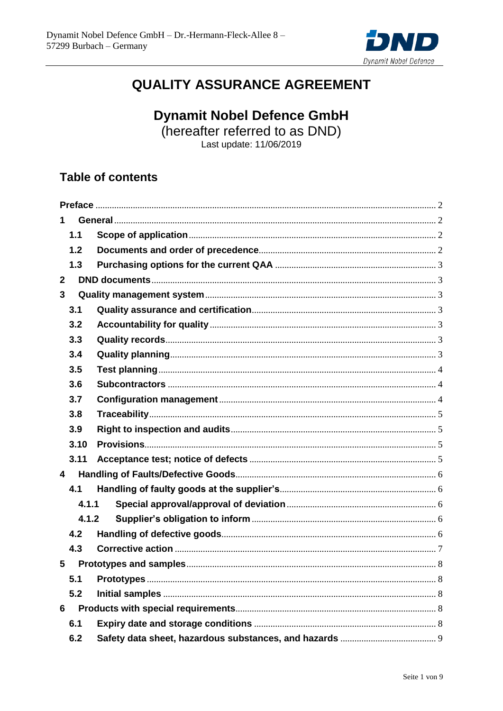

# **QUALITY ASSURANCE AGREEMENT**

**Dynamit Nobel Defence GmbH** 

(hereafter referred to as DND)

Last update: 11/06/2019

## **Table of contents**

| 1                       |       |  |  |
|-------------------------|-------|--|--|
|                         | 1.1   |  |  |
|                         | 1.2   |  |  |
|                         | 1.3   |  |  |
| $\mathbf{2}$            |       |  |  |
| 3                       |       |  |  |
|                         | 3.1   |  |  |
|                         | 3.2   |  |  |
|                         | 3.3   |  |  |
|                         | 3.4   |  |  |
|                         | 3.5   |  |  |
|                         | 3.6   |  |  |
|                         | 3.7   |  |  |
|                         | 3.8   |  |  |
|                         | 3.9   |  |  |
|                         | 3.10  |  |  |
|                         | 3.11  |  |  |
| $\overline{\mathbf{4}}$ |       |  |  |
|                         | 4.1   |  |  |
| 4.1.1                   |       |  |  |
|                         | 4.1.2 |  |  |
|                         | 4.2   |  |  |
|                         | 4.3   |  |  |
| 5                       |       |  |  |
|                         | 5.1   |  |  |
|                         | 5.2   |  |  |
| 6                       |       |  |  |
|                         | 6.1   |  |  |
|                         | 6.2   |  |  |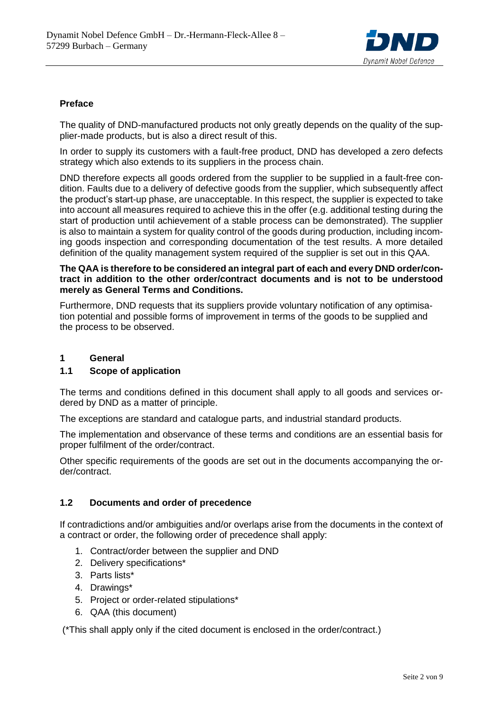

## <span id="page-1-0"></span>**Preface**

The quality of DND-manufactured products not only greatly depends on the quality of the supplier-made products, but is also a direct result of this.

In order to supply its customers with a fault-free product, DND has developed a zero defects strategy which also extends to its suppliers in the process chain.

DND therefore expects all goods ordered from the supplier to be supplied in a fault-free condition. Faults due to a delivery of defective goods from the supplier, which subsequently affect the product's start-up phase, are unacceptable. In this respect, the supplier is expected to take into account all measures required to achieve this in the offer (e.g. additional testing during the start of production until achievement of a stable process can be demonstrated). The supplier is also to maintain a system for quality control of the goods during production, including incoming goods inspection and corresponding documentation of the test results. A more detailed definition of the quality management system required of the supplier is set out in this QAA.

### **The QAA is therefore to be considered an integral part of each and every DND order/contract in addition to the other order/contract documents and is not to be understood merely as General Terms and Conditions.**

Furthermore, DND requests that its suppliers provide voluntary notification of any optimisation potential and possible forms of improvement in terms of the goods to be supplied and the process to be observed.

## <span id="page-1-1"></span>**1 General**

## <span id="page-1-2"></span>**1.1 Scope of application**

The terms and conditions defined in this document shall apply to all goods and services ordered by DND as a matter of principle.

The exceptions are standard and catalogue parts, and industrial standard products.

The implementation and observance of these terms and conditions are an essential basis for proper fulfilment of the order/contract.

Other specific requirements of the goods are set out in the documents accompanying the order/contract.

## <span id="page-1-3"></span>**1.2 Documents and order of precedence**

If contradictions and/or ambiguities and/or overlaps arise from the documents in the context of a contract or order, the following order of precedence shall apply:

- 1. Contract/order between the supplier and DND
- 2. Delivery specifications\*
- 3. Parts lists\*
- 4. Drawings\*
- 5. Project or order-related stipulations\*
- 6. QAA (this document)

(\*This shall apply only if the cited document is enclosed in the order/contract.)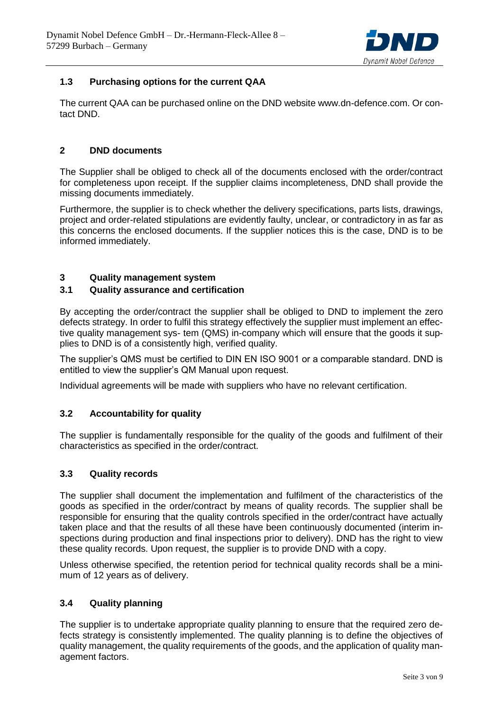

## <span id="page-2-0"></span>**1.3 Purchasing options for the current QAA**

The current QAA can be purchased online on the DND website www.dn-defence.com. Or contact DND.

## <span id="page-2-1"></span>**2 DND documents**

The Supplier shall be obliged to check all of the documents enclosed with the order/contract for completeness upon receipt. If the supplier claims incompleteness, DND shall provide the missing documents immediately.

Furthermore, the supplier is to check whether the delivery specifications, parts lists, drawings, project and order-related stipulations are evidently faulty, unclear, or contradictory in as far as this concerns the enclosed documents. If the supplier notices this is the case, DND is to be informed immediately.

## <span id="page-2-2"></span>**3 Quality management system**

## <span id="page-2-3"></span>**3.1 Quality assurance and certification**

By accepting the order/contract the supplier shall be obliged to DND to implement the zero defects strategy. In order to fulfil this strategy effectively the supplier must implement an effective quality management sys- tem (QMS) in-company which will ensure that the goods it supplies to DND is of a consistently high, verified quality.

The supplier's QMS must be certified to DIN EN ISO 9001 or a comparable standard. DND is entitled to view the supplier's QM Manual upon request.

Individual agreements will be made with suppliers who have no relevant certification.

## <span id="page-2-4"></span>**3.2 Accountability for quality**

The supplier is fundamentally responsible for the quality of the goods and fulfilment of their characteristics as specified in the order/contract.

#### <span id="page-2-5"></span>**3.3 Quality records**

The supplier shall document the implementation and fulfilment of the characteristics of the goods as specified in the order/contract by means of quality records. The supplier shall be responsible for ensuring that the quality controls specified in the order/contract have actually taken place and that the results of all these have been continuously documented (interim inspections during production and final inspections prior to delivery). DND has the right to view these quality records. Upon request, the supplier is to provide DND with a copy.

Unless otherwise specified, the retention period for technical quality records shall be a minimum of 12 years as of delivery.

## <span id="page-2-6"></span>**3.4 Quality planning**

The supplier is to undertake appropriate quality planning to ensure that the required zero defects strategy is consistently implemented. The quality planning is to define the objectives of quality management, the quality requirements of the goods, and the application of quality management factors.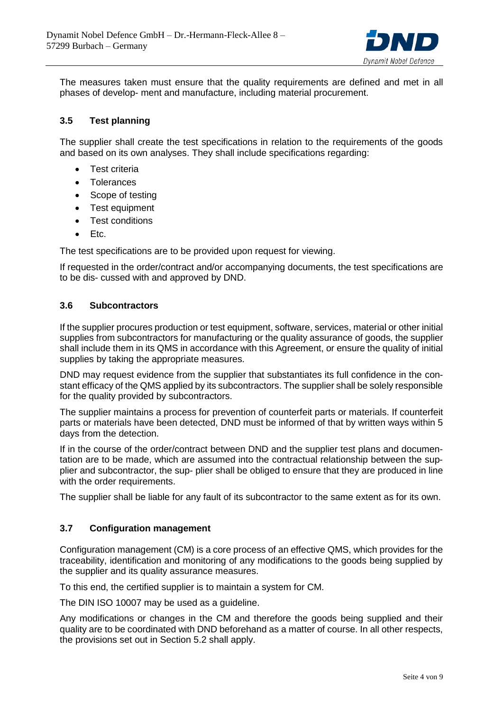

The measures taken must ensure that the quality requirements are defined and met in all phases of develop- ment and manufacture, including material procurement.

## <span id="page-3-0"></span>**3.5 Test planning**

The supplier shall create the test specifications in relation to the requirements of the goods and based on its own analyses. They shall include specifications regarding:

- Test criteria
- **•** Tolerances
- Scope of testing
- Test equipment
- Test conditions
- $\bullet$  Etc.

The test specifications are to be provided upon request for viewing.

If requested in the order/contract and/or accompanying documents, the test specifications are to be dis- cussed with and approved by DND.

#### <span id="page-3-1"></span>**3.6 Subcontractors**

If the supplier procures production or test equipment, software, services, material or other initial supplies from subcontractors for manufacturing or the quality assurance of goods, the supplier shall include them in its QMS in accordance with this Agreement, or ensure the quality of initial supplies by taking the appropriate measures.

DND may request evidence from the supplier that substantiates its full confidence in the constant efficacy of the QMS applied by its subcontractors. The supplier shall be solely responsible for the quality provided by subcontractors.

The supplier maintains a process for prevention of counterfeit parts or materials. If counterfeit parts or materials have been detected, DND must be informed of that by written ways within 5 days from the detection.

If in the course of the order/contract between DND and the supplier test plans and documentation are to be made, which are assumed into the contractual relationship between the supplier and subcontractor, the sup- plier shall be obliged to ensure that they are produced in line with the order requirements.

The supplier shall be liable for any fault of its subcontractor to the same extent as for its own.

## <span id="page-3-2"></span>**3.7 Configuration management**

Configuration management (CM) is a core process of an effective QMS, which provides for the traceability, identification and monitoring of any modifications to the goods being supplied by the supplier and its quality assurance measures.

To this end, the certified supplier is to maintain a system for CM.

The DIN ISO 10007 may be used as a guideline.

Any modifications or changes in the CM and therefore the goods being supplied and their quality are to be coordinated with DND beforehand as a matter of course. In all other respects, the provisions set out in Section 5.2 shall apply.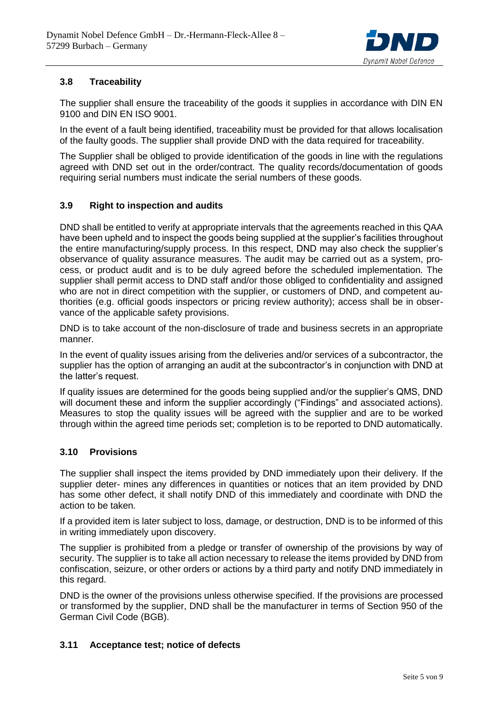

## <span id="page-4-0"></span>**3.8 Traceability**

The supplier shall ensure the traceability of the goods it supplies in accordance with DIN EN 9100 and DIN EN ISO 9001.

In the event of a fault being identified, traceability must be provided for that allows localisation of the faulty goods. The supplier shall provide DND with the data required for traceability.

The Supplier shall be obliged to provide identification of the goods in line with the regulations agreed with DND set out in the order/contract. The quality records/documentation of goods requiring serial numbers must indicate the serial numbers of these goods.

## <span id="page-4-1"></span>**3.9 Right to inspection and audits**

DND shall be entitled to verify at appropriate intervals that the agreements reached in this QAA have been upheld and to inspect the goods being supplied at the supplier's facilities throughout the entire manufacturing/supply process. In this respect, DND may also check the supplier's observance of quality assurance measures. The audit may be carried out as a system, process, or product audit and is to be duly agreed before the scheduled implementation. The supplier shall permit access to DND staff and/or those obliged to confidentiality and assigned who are not in direct competition with the supplier, or customers of DND, and competent authorities (e.g. official goods inspectors or pricing review authority); access shall be in observance of the applicable safety provisions.

DND is to take account of the non-disclosure of trade and business secrets in an appropriate manner.

In the event of quality issues arising from the deliveries and/or services of a subcontractor, the supplier has the option of arranging an audit at the subcontractor's in conjunction with DND at the latter's request.

If quality issues are determined for the goods being supplied and/or the supplier's QMS, DND will document these and inform the supplier accordingly ("Findings" and associated actions). Measures to stop the quality issues will be agreed with the supplier and are to be worked through within the agreed time periods set; completion is to be reported to DND automatically.

## <span id="page-4-2"></span>**3.10 Provisions**

The supplier shall inspect the items provided by DND immediately upon their delivery. If the supplier deter- mines any differences in quantities or notices that an item provided by DND has some other defect, it shall notify DND of this immediately and coordinate with DND the action to be taken.

If a provided item is later subject to loss, damage, or destruction, DND is to be informed of this in writing immediately upon discovery.

The supplier is prohibited from a pledge or transfer of ownership of the provisions by way of security. The supplier is to take all action necessary to release the items provided by DND from confiscation, seizure, or other orders or actions by a third party and notify DND immediately in this regard.

DND is the owner of the provisions unless otherwise specified. If the provisions are processed or transformed by the supplier, DND shall be the manufacturer in terms of Section 950 of the German Civil Code (BGB).

## <span id="page-4-3"></span>**3.11 Acceptance test; notice of defects**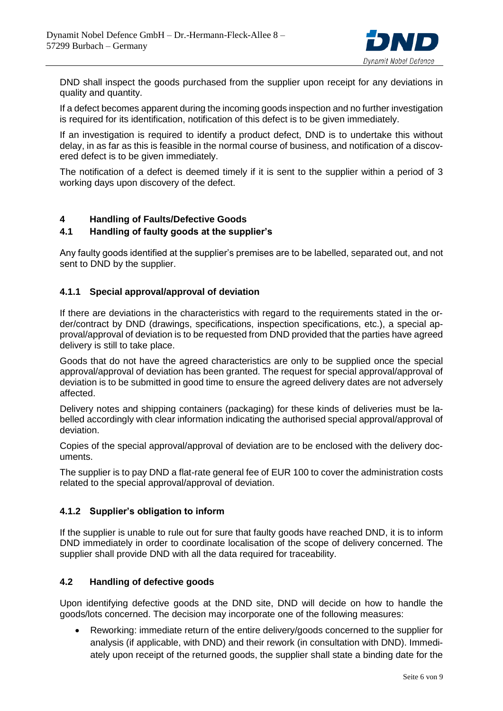

DND shall inspect the goods purchased from the supplier upon receipt for any deviations in quality and quantity.

If a defect becomes apparent during the incoming goods inspection and no further investigation is required for its identification, notification of this defect is to be given immediately.

If an investigation is required to identify a product defect, DND is to undertake this without delay, in as far as this is feasible in the normal course of business, and notification of a discovered defect is to be given immediately.

The notification of a defect is deemed timely if it is sent to the supplier within a period of 3 working days upon discovery of the defect.

## <span id="page-5-0"></span>**4 Handling of Faults/Defective Goods**

## <span id="page-5-1"></span>**4.1 Handling of faulty goods at the supplier's**

Any faulty goods identified at the supplier's premises are to be labelled, separated out, and not sent to DND by the supplier.

## <span id="page-5-2"></span>**4.1.1 Special approval/approval of deviation**

If there are deviations in the characteristics with regard to the requirements stated in the order/contract by DND (drawings, specifications, inspection specifications, etc.), a special approval/approval of deviation is to be requested from DND provided that the parties have agreed delivery is still to take place.

Goods that do not have the agreed characteristics are only to be supplied once the special approval/approval of deviation has been granted. The request for special approval/approval of deviation is to be submitted in good time to ensure the agreed delivery dates are not adversely affected.

Delivery notes and shipping containers (packaging) for these kinds of deliveries must be labelled accordingly with clear information indicating the authorised special approval/approval of deviation.

Copies of the special approval/approval of deviation are to be enclosed with the delivery documents.

The supplier is to pay DND a flat-rate general fee of EUR 100 to cover the administration costs related to the special approval/approval of deviation.

## <span id="page-5-3"></span>**4.1.2 Supplier's obligation to inform**

If the supplier is unable to rule out for sure that faulty goods have reached DND, it is to inform DND immediately in order to coordinate localisation of the scope of delivery concerned. The supplier shall provide DND with all the data required for traceability.

## <span id="page-5-4"></span>**4.2 Handling of defective goods**

Upon identifying defective goods at the DND site, DND will decide on how to handle the goods/lots concerned. The decision may incorporate one of the following measures:

 Reworking: immediate return of the entire delivery/goods concerned to the supplier for analysis (if applicable, with DND) and their rework (in consultation with DND). Immediately upon receipt of the returned goods, the supplier shall state a binding date for the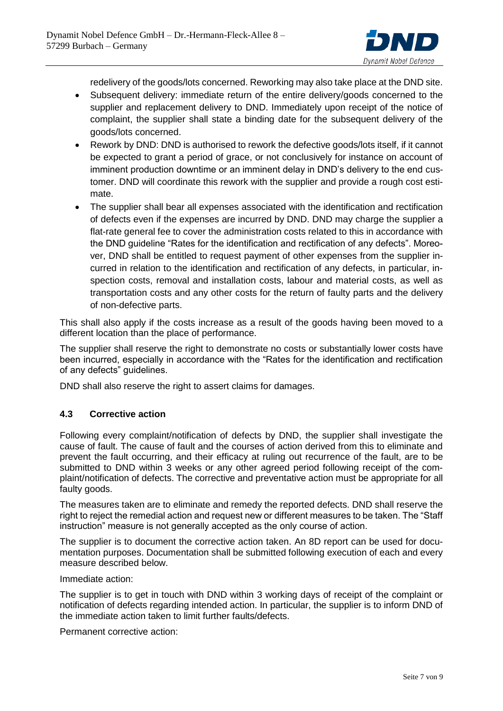

redelivery of the goods/lots concerned. Reworking may also take place at the DND site.

- Subsequent delivery: immediate return of the entire delivery/goods concerned to the supplier and replacement delivery to DND. Immediately upon receipt of the notice of complaint, the supplier shall state a binding date for the subsequent delivery of the goods/lots concerned.
- Rework by DND: DND is authorised to rework the defective goods/lots itself, if it cannot be expected to grant a period of grace, or not conclusively for instance on account of imminent production downtime or an imminent delay in DND's delivery to the end customer. DND will coordinate this rework with the supplier and provide a rough cost estimate.
- The supplier shall bear all expenses associated with the identification and rectification of defects even if the expenses are incurred by DND. DND may charge the supplier a flat-rate general fee to cover the administration costs related to this in accordance with the DND guideline "Rates for the identification and rectification of any defects". Moreover, DND shall be entitled to request payment of other expenses from the supplier incurred in relation to the identification and rectification of any defects, in particular, inspection costs, removal and installation costs, labour and material costs, as well as transportation costs and any other costs for the return of faulty parts and the delivery of non-defective parts.

This shall also apply if the costs increase as a result of the goods having been moved to a different location than the place of performance.

The supplier shall reserve the right to demonstrate no costs or substantially lower costs have been incurred, especially in accordance with the "Rates for the identification and rectification of any defects" guidelines.

DND shall also reserve the right to assert claims for damages.

## <span id="page-6-0"></span>**4.3 Corrective action**

Following every complaint/notification of defects by DND, the supplier shall investigate the cause of fault. The cause of fault and the courses of action derived from this to eliminate and prevent the fault occurring, and their efficacy at ruling out recurrence of the fault, are to be submitted to DND within 3 weeks or any other agreed period following receipt of the complaint/notification of defects. The corrective and preventative action must be appropriate for all faulty goods.

The measures taken are to eliminate and remedy the reported defects. DND shall reserve the right to reject the remedial action and request new or different measures to be taken. The "Staff instruction" measure is not generally accepted as the only course of action.

The supplier is to document the corrective action taken. An 8D report can be used for documentation purposes. Documentation shall be submitted following execution of each and every measure described below.

Immediate action:

The supplier is to get in touch with DND within 3 working days of receipt of the complaint or notification of defects regarding intended action. In particular, the supplier is to inform DND of the immediate action taken to limit further faults/defects.

Permanent corrective action: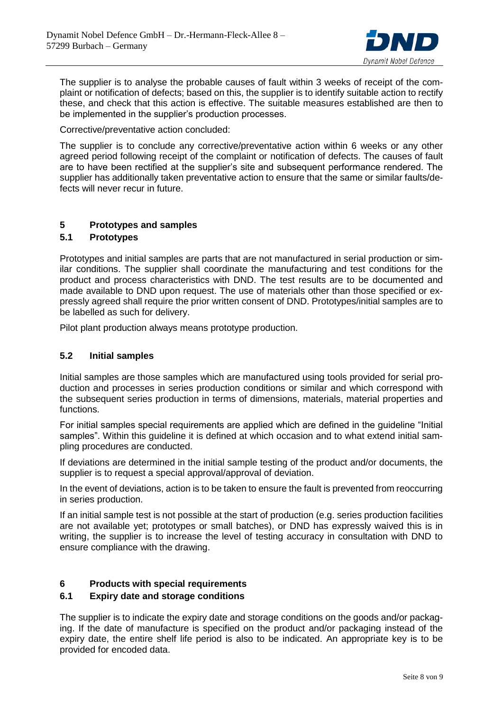

The supplier is to analyse the probable causes of fault within 3 weeks of receipt of the complaint or notification of defects; based on this, the supplier is to identify suitable action to rectify these, and check that this action is effective. The suitable measures established are then to be implemented in the supplier's production processes.

Corrective/preventative action concluded:

The supplier is to conclude any corrective/preventative action within 6 weeks or any other agreed period following receipt of the complaint or notification of defects. The causes of fault are to have been rectified at the supplier's site and subsequent performance rendered. The supplier has additionally taken preventative action to ensure that the same or similar faults/defects will never recur in future.

## <span id="page-7-0"></span>**5 Prototypes and samples**

## <span id="page-7-1"></span>**5.1 Prototypes**

Prototypes and initial samples are parts that are not manufactured in serial production or similar conditions. The supplier shall coordinate the manufacturing and test conditions for the product and process characteristics with DND. The test results are to be documented and made available to DND upon request. The use of materials other than those specified or expressly agreed shall require the prior written consent of DND. Prototypes/initial samples are to be labelled as such for delivery.

Pilot plant production always means prototype production.

## <span id="page-7-2"></span>**5.2 Initial samples**

Initial samples are those samples which are manufactured using tools provided for serial production and processes in series production conditions or similar and which correspond with the subsequent series production in terms of dimensions, materials, material properties and functions.

For initial samples special requirements are applied which are defined in the guideline "Initial samples". Within this guideline it is defined at which occasion and to what extend initial sampling procedures are conducted.

If deviations are determined in the initial sample testing of the product and/or documents, the supplier is to request a special approval/approval of deviation.

In the event of deviations, action is to be taken to ensure the fault is prevented from reoccurring in series production.

If an initial sample test is not possible at the start of production (e.g. series production facilities are not available yet; prototypes or small batches), or DND has expressly waived this is in writing, the supplier is to increase the level of testing accuracy in consultation with DND to ensure compliance with the drawing.

## <span id="page-7-3"></span>**6 Products with special requirements**

## <span id="page-7-4"></span>**6.1 Expiry date and storage conditions**

The supplier is to indicate the expiry date and storage conditions on the goods and/or packaging. If the date of manufacture is specified on the product and/or packaging instead of the expiry date, the entire shelf life period is also to be indicated. An appropriate key is to be provided for encoded data.